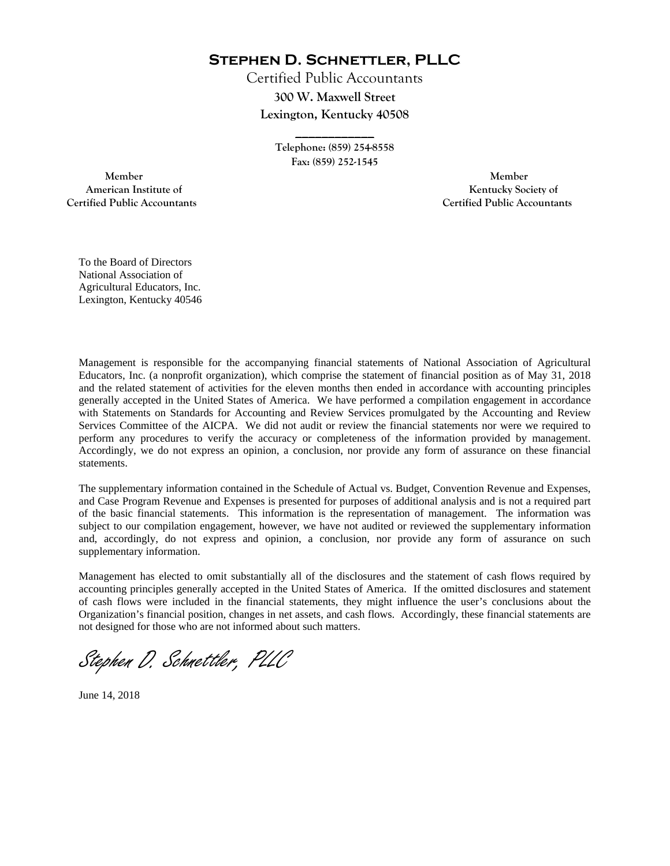**Stephen D. Schnettler, PLLC**

Certified Public Accountants **300 W. Maxwell Street Lexington, Kentucky 40508** 

> **Telephone: (859) 254-8558 Fax: (859) 252-1545**

**\_\_\_\_\_\_\_\_\_\_\_\_** 

 **Member Member Certified Public Accountants Certified Public Accountants** 

American Institute of **Kentucky Society of American Institute of** 

To the Board of Directors National Association of Agricultural Educators, Inc. Lexington, Kentucky 40546

Management is responsible for the accompanying financial statements of National Association of Agricultural Educators, Inc. (a nonprofit organization), which comprise the statement of financial position as of May 31, 2018 and the related statement of activities for the eleven months then ended in accordance with accounting principles generally accepted in the United States of America. We have performed a compilation engagement in accordance with Statements on Standards for Accounting and Review Services promulgated by the Accounting and Review Services Committee of the AICPA. We did not audit or review the financial statements nor were we required to perform any procedures to verify the accuracy or completeness of the information provided by management. Accordingly, we do not express an opinion, a conclusion, nor provide any form of assurance on these financial statements.

The supplementary information contained in the Schedule of Actual vs. Budget, Convention Revenue and Expenses, and Case Program Revenue and Expenses is presented for purposes of additional analysis and is not a required part of the basic financial statements. This information is the representation of management. The information was subject to our compilation engagement, however, we have not audited or reviewed the supplementary information and, accordingly, do not express and opinion, a conclusion, nor provide any form of assurance on such supplementary information.

Management has elected to omit substantially all of the disclosures and the statement of cash flows required by accounting principles generally accepted in the United States of America. If the omitted disclosures and statement of cash flows were included in the financial statements, they might influence the user's conclusions about the Organization's financial position, changes in net assets, and cash flows. Accordingly, these financial statements are not designed for those who are not informed about such matters.

Stephen D. Schnettler, PLLC

June 14, 2018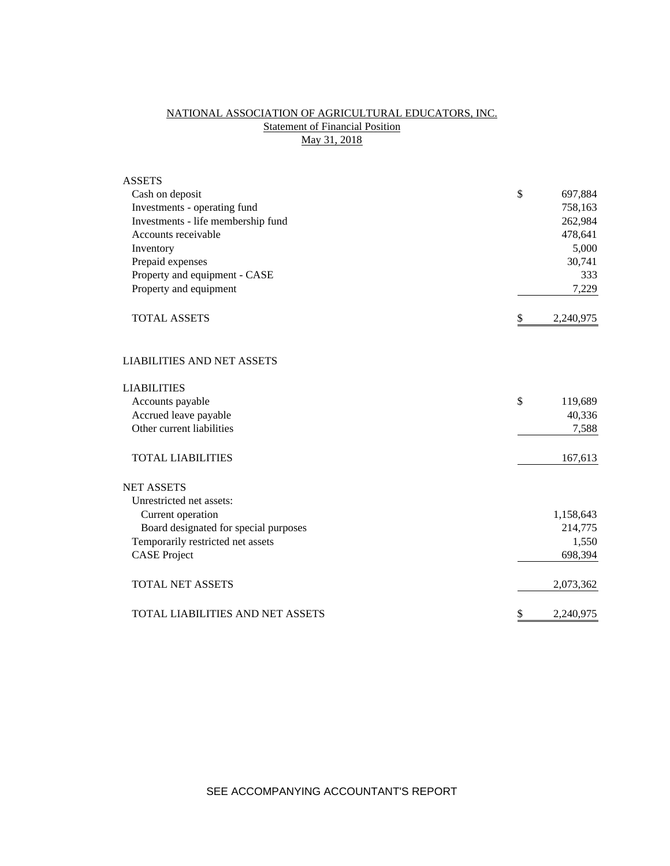## NATIONAL ASSOCIATION OF AGRICULTURAL EDUCATORS, INC. **Statement of Financial Position** May 31, 2018

| <b>ASSETS</b>                           |                 |
|-----------------------------------------|-----------------|
| Cash on deposit                         | \$<br>697,884   |
| Investments - operating fund            | 758,163         |
| Investments - life membership fund      | 262,984         |
| Accounts receivable                     | 478,641         |
| Inventory                               | 5,000           |
| Prepaid expenses                        | 30,741          |
| Property and equipment - CASE           | 333             |
| Property and equipment                  | 7,229           |
| <b>TOTAL ASSETS</b>                     | \$<br>2,240,975 |
| <b>LIABILITIES AND NET ASSETS</b>       |                 |
| <b>LIABILITIES</b>                      |                 |
| Accounts payable                        | \$<br>119,689   |
| Accrued leave payable                   | 40,336          |
| Other current liabilities               | 7,588           |
| <b>TOTAL LIABILITIES</b>                | 167,613         |
| <b>NET ASSETS</b>                       |                 |
| Unrestricted net assets:                |                 |
| Current operation                       | 1,158,643       |
| Board designated for special purposes   | 214,775         |
| Temporarily restricted net assets       | 1,550           |
| <b>CASE Project</b>                     | 698,394         |
| <b>TOTAL NET ASSETS</b>                 | 2,073,362       |
| <b>TOTAL LIABILITIES AND NET ASSETS</b> | \$<br>2,240,975 |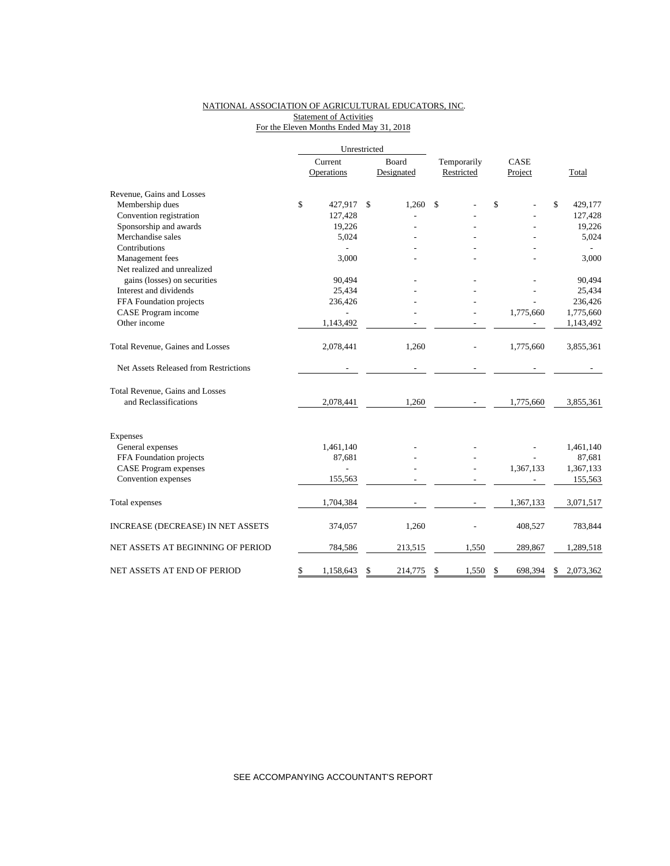## NATIONAL ASSOCIATION OF AGRICULTURAL EDUCATORS, INC. Statement of Activities For the Eleven Months Ended May 31, 2018

|                                       | Unrestricted    |               |             |      |           |                 |
|---------------------------------------|-----------------|---------------|-------------|------|-----------|-----------------|
|                                       | Current         | Board         | Temporarily | CASE |           |                 |
|                                       | Operations      | Designated    | Restricted  |      | Project   | Total           |
| Revenue, Gains and Losses             |                 |               |             |      |           |                 |
| Membership dues                       | \$<br>427,917   | \$<br>1,260   | \$          | \$   |           | \$<br>429,177   |
| Convention registration               | 127,428         |               |             |      |           | 127,428         |
| Sponsorship and awards                | 19,226          |               |             |      |           | 19,226          |
| Merchandise sales                     | 5,024           |               |             |      |           | 5,024           |
| Contributions                         |                 |               |             |      |           |                 |
| Management fees                       | 3,000           |               |             |      |           | 3,000           |
| Net realized and unrealized           |                 |               |             |      |           |                 |
| gains (losses) on securities          | 90,494          |               |             |      |           | 90,494          |
| Interest and dividends                | 25,434          |               |             |      |           | 25,434          |
| FFA Foundation projects               | 236,426         |               |             |      |           | 236,426         |
| CASE Program income                   |                 |               |             |      | 1,775,660 | 1,775,660       |
| Other income                          | 1,143,492       |               |             |      |           | 1,143,492       |
| Total Revenue, Gaines and Losses      | 2,078,441       | 1,260         |             |      | 1,775,660 | 3,855,361       |
| Net Assets Released from Restrictions |                 |               |             |      |           |                 |
| Total Revenue, Gains and Losses       |                 |               |             |      |           |                 |
| and Reclassifications                 | 2,078,441       | 1,260         |             |      | 1,775,660 | 3,855,361       |
| <b>Expenses</b>                       |                 |               |             |      |           |                 |
| General expenses                      | 1,461,140       |               |             |      |           | 1,461,140       |
| FFA Foundation projects               | 87,681          |               |             |      |           | 87,681          |
| <b>CASE Program expenses</b>          | $\overline{a}$  |               |             |      | 1,367,133 | 1,367,133       |
| Convention expenses                   | 155,563         |               |             |      |           | 155,563         |
|                                       |                 |               |             |      |           |                 |
| Total expenses                        | 1,704,384       |               |             |      | 1,367,133 | 3,071,517       |
| INCREASE (DECREASE) IN NET ASSETS     | 374,057         | 1,260         |             |      | 408,527   | 783,844         |
| NET ASSETS AT BEGINNING OF PERIOD     | 784,586         | 213,515       | 1,550       |      | 289,867   | 1,289,518       |
| NET ASSETS AT END OF PERIOD           | \$<br>1,158,643 | \$<br>214,775 | \$<br>1,550 | \$   | 698,394   | \$<br>2,073,362 |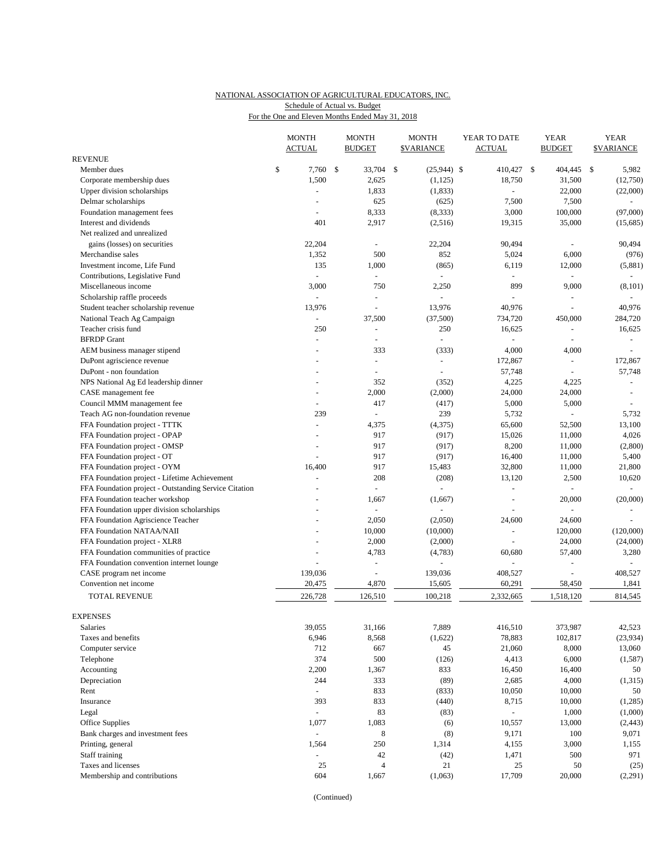# NATIONAL ASSOCIATION OF AGRICULTURAL EDUCATORS, INC. Schedule of Actual vs. Budget

|  | For the One and Eleven Months Ended May 31, 2018 |  |  |  |  |
|--|--------------------------------------------------|--|--|--|--|
|--|--------------------------------------------------|--|--|--|--|

|                                                                               | <b>MONTH</b><br><b>ACTUAL</b>    | <b>MONTH</b><br><b>BUDGET</b> |     | <b>MONTH</b><br><b>\$VARIANCE</b> |  | YEAR TO DATE<br><b>ACTUAL</b> | <b>YEAR</b><br><b>BUDGET</b> |                        | <b>YEAR</b><br><b>\$VARIANCE</b> |                          |
|-------------------------------------------------------------------------------|----------------------------------|-------------------------------|-----|-----------------------------------|--|-------------------------------|------------------------------|------------------------|----------------------------------|--------------------------|
| <b>REVENUE</b>                                                                |                                  |                               |     |                                   |  |                               |                              |                        |                                  |                          |
| Member dues                                                                   | \$<br>7,760 \$                   | 33,704                        | -\$ | $(25,944)$ \$                     |  | 410,427 \$                    |                              | 404,445                | $\mathbb{S}$                     | 5,982                    |
| Corporate membership dues                                                     | 1,500                            | 2,625                         |     | (1, 125)                          |  | 18,750                        |                              | 31,500                 |                                  | (12,750)                 |
| Upper division scholarships                                                   | $\sim$                           | 1,833                         |     | (1, 833)                          |  | ÷.                            |                              | 22,000                 |                                  | (22,000)                 |
| Delmar scholarships                                                           |                                  | 625                           |     | (625)                             |  | 7,500                         |                              | 7,500                  |                                  | $\omega$                 |
| Foundation management fees                                                    | $\sim$                           | 8,333                         |     | (8, 333)                          |  | 3,000                         |                              | 100,000                |                                  | (97,000)                 |
| Interest and dividends                                                        | 401                              | 2,917                         |     | (2,516)                           |  | 19,315                        |                              | 35,000                 |                                  | (15,685)                 |
| Net realized and unrealized                                                   |                                  |                               |     |                                   |  |                               |                              |                        |                                  |                          |
| gains (losses) on securities                                                  | 22,204                           | L,                            |     | 22,204                            |  | 90,494                        |                              | ÷,                     |                                  | 90,494                   |
| Merchandise sales                                                             | 1,352                            | 500                           |     | 852                               |  | 5,024                         |                              | 6,000                  |                                  | (976)                    |
| Investment income, Life Fund                                                  | 135                              | 1,000                         |     | (865)                             |  | 6,119                         |                              | 12,000                 |                                  | (5,881)                  |
| Contributions, Legislative Fund                                               | $\overline{a}$                   | $\sim$                        |     |                                   |  |                               |                              |                        |                                  | ÷.                       |
| Miscellaneous income                                                          | 3,000                            | 750                           |     | 2,250                             |  | 899                           |                              | 9,000                  |                                  | (8, 101)                 |
| Scholarship raffle proceeds                                                   | $\overline{a}$                   |                               |     |                                   |  |                               |                              |                        |                                  |                          |
| Student teacher scholarship revenue                                           | 13,976                           | $\overline{a}$                |     | 13,976                            |  | 40,976                        |                              | ÷,                     |                                  | 40,976                   |
| National Teach Ag Campaign                                                    | $\blacksquare$                   | 37,500                        |     | (37,500)                          |  | 734,720                       |                              | 450,000                |                                  | 284,720                  |
| Teacher crisis fund                                                           | 250                              |                               |     | 250                               |  | 16,625                        |                              | L,                     |                                  | 16,625                   |
| <b>BFRDP</b> Grant                                                            |                                  | $\sim$                        |     | $\overline{a}$                    |  |                               |                              | ÷.                     |                                  | $\omega$                 |
| AEM business manager stipend                                                  | $\overline{a}$                   | 333                           |     | (333)                             |  | 4,000                         |                              | 4,000                  |                                  |                          |
| DuPont agriscience revenue                                                    |                                  | $\overline{\phantom{a}}$      |     | ÷,                                |  | 172,867                       |                              | $\omega$               |                                  | 172,867                  |
| DuPont - non foundation                                                       |                                  | $\sim$                        |     | $\sim$                            |  | 57,748                        |                              | ä,                     |                                  | 57,748                   |
| NPS National Ag Ed leadership dinner                                          |                                  | 352                           |     | (352)                             |  | 4,225                         |                              | 4,225                  |                                  | $\omega$                 |
| CASE management fee                                                           |                                  | 2,000                         |     | (2,000)                           |  | 24,000                        |                              | 24,000                 |                                  | $\overline{\phantom{a}}$ |
| Council MMM management fee                                                    | ÷,                               | 417<br>$\overline{a}$         |     | (417)                             |  | 5,000                         |                              | 5,000<br>÷.            |                                  |                          |
| Teach AG non-foundation revenue                                               | 239                              |                               |     | 239                               |  | 5,732                         |                              |                        |                                  | 5,732                    |
| FFA Foundation project - TTTK                                                 | $\blacksquare$<br>$\overline{a}$ | 4,375                         |     | (4,375)                           |  | 65,600                        |                              | 52,500                 |                                  | 13,100                   |
| FFA Foundation project - OPAP                                                 |                                  | 917<br>917                    |     | (917)<br>(917)                    |  | 15,026<br>8,200               |                              | 11,000<br>11,000       |                                  | 4,026                    |
| FFA Foundation project - OMSP                                                 | $\sim$                           | 917                           |     | (917)                             |  | 16,400                        |                              | 11,000                 |                                  | (2,800)<br>5,400         |
| FFA Foundation project - OT                                                   | 16,400                           | 917                           |     | 15,483                            |  | 32,800                        |                              |                        |                                  | 21,800                   |
| FFA Foundation project - OYM                                                  | $\overline{a}$                   |                               |     |                                   |  |                               |                              | 11,000                 |                                  |                          |
| FFA Foundation project - Lifetime Achievement                                 |                                  | 208<br>$\omega$               |     | (208)<br>L,                       |  | 13,120<br>L,                  |                              | 2,500<br>$\frac{1}{2}$ |                                  | 10,620<br>$\omega$       |
| FFA Foundation project - Outstanding Service Citation                         |                                  | 1,667                         |     |                                   |  | $\sim$                        |                              | 20,000                 |                                  | (20,000)                 |
| FFA Foundation teacher workshop<br>FFA Foundation upper division scholarships |                                  |                               |     | (1,667)                           |  |                               |                              |                        |                                  |                          |
| FFA Foundation Agriscience Teacher                                            |                                  | 2,050                         |     | (2,050)                           |  | 24,600                        |                              | 24,600                 |                                  |                          |
| FFA Foundation NATAA/NAII                                                     |                                  | 10,000                        |     | (10,000)                          |  | $\blacksquare$                |                              | 120,000                |                                  | (120,000)                |
| FFA Foundation project - XLR8                                                 |                                  | 2,000                         |     | (2,000)                           |  | $\blacksquare$                |                              | 24,000                 |                                  | (24,000)                 |
| FFA Foundation communities of practice                                        |                                  | 4,783                         |     | (4,783)                           |  | 60,680                        |                              | 57,400                 |                                  | 3,280                    |
| FFA Foundation convention internet lounge                                     |                                  |                               |     | ÷,                                |  |                               |                              | L,                     |                                  |                          |
| CASE program net income                                                       | 139,036                          | ÷,                            |     | 139,036                           |  | 408,527                       |                              |                        |                                  | 408,527                  |
| Convention net income                                                         | 20,475                           | 4,870                         |     | 15,605                            |  | 60,291                        |                              | 58,450                 |                                  | 1,841                    |
| TOTAL REVENUE                                                                 | 226,728                          | 126,510                       |     | 100,218                           |  | 2,332,665                     |                              | 1,518,120              |                                  | 814,545                  |
|                                                                               |                                  |                               |     |                                   |  |                               |                              |                        |                                  |                          |
| <b>EXPENSES</b>                                                               |                                  |                               |     |                                   |  |                               |                              |                        |                                  |                          |
| Salaries                                                                      | 39,055                           | 31,166                        |     | 7,889                             |  | 416,510                       |                              | 373,987                |                                  | 42,523                   |
| Taxes and benefits                                                            | 6,946                            | 8,568                         |     | (1,622)                           |  | 78,883                        |                              | 102,817                |                                  | (23, 934)                |
| Computer service                                                              | 712                              | 667                           |     | 45                                |  | 21,060                        |                              | 8,000                  |                                  | 13,060                   |
| Telephone                                                                     | 374                              | 500                           |     | (126)                             |  | 4,413                         |                              | 6,000                  |                                  | (1, 587)                 |
| Accounting                                                                    | 2,200                            | 1,367                         |     | 833                               |  | 16,450                        |                              | 16,400                 |                                  | 50                       |
| Depreciation                                                                  | 244                              | 333                           |     | (89)                              |  | 2,685                         |                              | 4,000                  |                                  | (1,315)                  |
| Rent                                                                          | $\blacksquare$                   | 833                           |     | (833)                             |  | 10,050                        |                              | 10,000                 |                                  | 50                       |
| Insurance                                                                     | 393                              | 833                           |     | (440)                             |  | 8,715                         |                              | 10,000                 |                                  | (1,285)                  |
| Legal                                                                         | $\Box$                           | 83                            |     | (83)                              |  | $\omega_{\rm c}$              |                              | 1,000                  |                                  | (1,000)                  |
| Office Supplies                                                               | 1,077                            | 1,083                         |     | (6)                               |  | 10,557                        |                              | 13,000                 |                                  | (2, 443)                 |
| Bank charges and investment fees                                              | $\Box$                           | 8                             |     | (8)                               |  | 9,171                         |                              | 100                    |                                  | 9,071                    |
| Printing, general                                                             | 1,564                            | 250                           |     | 1,314                             |  | 4,155                         |                              | 3,000                  |                                  | 1,155                    |
| Staff training                                                                |                                  | 42                            |     | (42)                              |  | 1,471                         |                              | 500                    |                                  | 971                      |
| Taxes and licenses                                                            | 25                               | $\overline{4}$                |     | 21                                |  | 25                            |                              | 50                     |                                  | (25)                     |
| Membership and contributions                                                  | 604                              | 1,667                         |     | (1,063)                           |  | 17,709                        |                              | 20,000                 |                                  | (2,291)                  |

(Continued)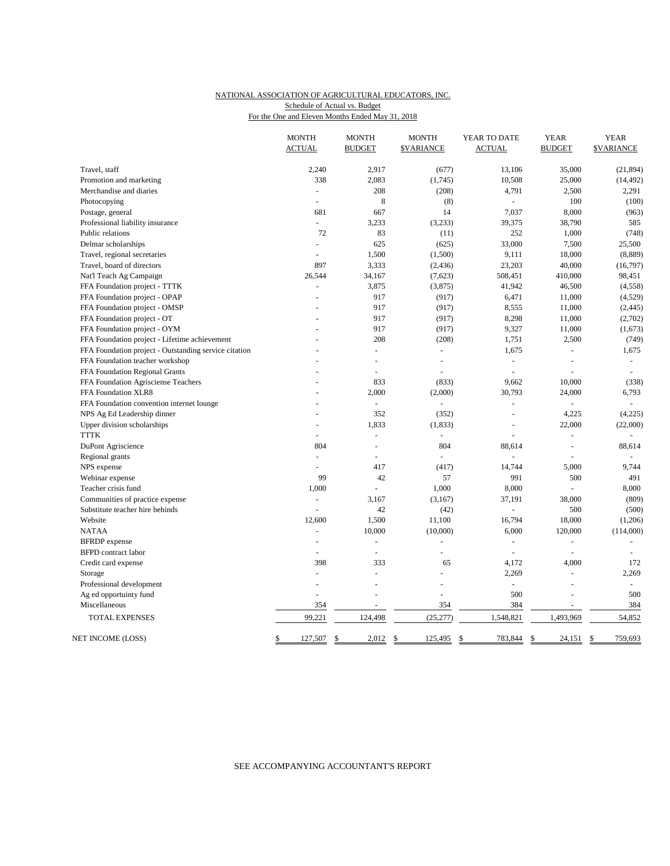### NATIONAL ASSOCIATION OF AGRICULTURAL EDUCATORS, INC. For the One and Eleven Months Ended May 31, 2018 Schedule of Actual vs. Budget

|                                                       | <b>MONTH</b><br><b>ACTUAL</b> | <b>MONTH</b><br><b>BUDGET</b> | <b>MONTH</b><br><b><i>SVARIANCE</i></b> | YEAR TO DATE<br><b>ACTUAL</b> | <b>YEAR</b><br><b>BUDGET</b> | <b>YEAR</b><br><b>\$VARIANCE</b> |
|-------------------------------------------------------|-------------------------------|-------------------------------|-----------------------------------------|-------------------------------|------------------------------|----------------------------------|
|                                                       |                               |                               |                                         |                               |                              |                                  |
| Travel, staff                                         | 2,240                         | 2,917                         | (677)                                   | 13,106                        | 35,000                       | (21, 894)                        |
| Promotion and marketing                               | 338                           | 2,083                         | (1,745)                                 | 10,508                        | 25,000                       | (14, 492)                        |
| Merchandise and diaries                               | $\omega$                      | 208                           | (208)                                   | 4,791                         | 2,500                        | 2,291                            |
| Photocopying                                          | ÷.                            | 8                             | (8)                                     | $\sim$                        | 100                          | (100)                            |
| Postage, general                                      | 681                           | 667                           | 14                                      | 7,037                         | 8,000                        | (963)                            |
| Professional liability insurance                      | $\omega$                      | 3,233                         | (3,233)                                 | 39,375                        | 38,790                       | 585                              |
| Public relations                                      | 72                            | 83                            | (11)                                    | 252                           | 1,000                        | (748)                            |
| Delmar scholarships                                   | $\overline{a}$                | 625                           | (625)                                   | 33,000                        | 7,500                        | 25,500                           |
| Travel, regional secretaries                          | $\overline{a}$                | 1,500                         | (1,500)                                 | 9,111                         | 18,000                       | (8,889)                          |
| Travel, board of directors                            | 897                           | 3,333                         | (2, 436)                                | 23,203                        | 40,000                       | (16, 797)                        |
| Nat'l Teach Ag Campaign                               | 26,544                        | 34,167                        | (7,623)                                 | 508,451                       | 410,000                      | 98,451                           |
| FFA Foundation project - TTTK                         | $\overline{a}$                | 3,875                         | (3,875)                                 | 41,942                        | 46,500                       | (4,558)                          |
| FFA Foundation project - OPAP                         |                               | 917                           | (917)                                   | 6,471                         | 11,000                       | (4,529)                          |
| FFA Foundation project - OMSP                         |                               | 917                           | (917)                                   | 8,555                         | 11,000                       | (2, 445)                         |
| FFA Foundation project - OT                           |                               | 917                           | (917)                                   | 8,298                         | 11,000                       | (2,702)                          |
| FFA Foundation project - OYM                          |                               | 917                           | (917)                                   | 9,327                         | 11,000                       | (1,673)                          |
| FFA Foundation project - Lifetime achievement         |                               | 208                           | (208)                                   | 1,751                         | 2,500                        | (749)                            |
| FFA Foundation project - Outstanding service citation |                               | ÷,                            | ÷                                       | 1,675                         | L.                           | 1,675                            |
| FFA Foundation teacher workshop                       |                               | $\overline{a}$                | ÷,                                      | $\omega$                      | $\sim$                       | $\omega$                         |
| FFA Foundation Regional Grants                        |                               | $\overline{a}$                | ÷,                                      | ÷,                            | L.                           | $\overline{a}$                   |
| FFA Foundation Agrisciense Teachers                   |                               | 833                           | (833)                                   | 9,662                         | 10,000                       | (338)                            |
| FFA Foundation XLR8                                   |                               | 2,000                         | (2,000)                                 | 30,793                        | 24,000                       | 6,793                            |
| FFA Foundation convention internet lounge             |                               | $\overline{a}$                | $\overline{a}$                          | $\overline{a}$                |                              |                                  |
| NPS Ag Ed Leadership dinner                           | L.                            | 352                           | (352)                                   | $\overline{a}$                | 4,225                        | (4,225)                          |
| Upper division scholarships                           | $\overline{a}$                | 1,833                         | (1, 833)                                | L,                            | 22,000                       | (22,000)                         |
| <b>TTTK</b>                                           | L.                            | ÷,                            | $\bar{\phantom{a}}$                     |                               | ÷,                           |                                  |
| DuPont Agriscience                                    | 804                           | ÷,                            | 804                                     | 88,614                        | $\overline{a}$               | 88,614                           |
| Regional grants                                       | L.                            | ÷.                            | $\overline{a}$                          |                               |                              |                                  |
| NPS expense                                           | ÷                             | 417                           | (417)                                   | 14,744                        | 5,000                        | 9,744                            |
| Webinar expense                                       | 99                            | 42                            | 57                                      | 991                           | 500                          | 491                              |
| Teacher crisis fund                                   | 1,000                         |                               | 1,000                                   | 8,000                         |                              | 8,000                            |
| Communities of practice expense                       |                               | 3,167                         | (3,167)                                 | 37,191                        | 38,000                       | (809)                            |
| Substitute teacher hire behinds                       | $\overline{a}$                | 42                            | (42)                                    | $\omega$                      | 500                          | (500)                            |
| Website                                               | 12,600                        | 1,500                         | 11,100                                  | 16,794                        | 18,000                       | (1,206)                          |
| <b>NATAA</b>                                          | ä,                            | 10,000                        | (10,000)                                | 6,000                         | 120,000                      | (114,000)                        |
| <b>BFRDP</b> expense                                  |                               | L,                            |                                         | L.                            | L,                           |                                  |
| <b>BFPD</b> contract labor                            | ÷.                            | $\omega$                      | $\sim$                                  | $\sim$                        | $\overline{a}$               | ÷.                               |
| Credit card expense                                   | 398                           | 333                           | 65                                      | 4,172                         | 4,000                        | 172                              |
| Storage                                               | ÷,                            | ÷,                            |                                         | 2,269                         | $\sim$                       | 2,269                            |
| Professional development                              |                               |                               |                                         | L.                            |                              | $\sim$                           |
| Ag ed opportuinty fund                                |                               |                               | L,                                      | 500                           | L,                           | 500                              |
| Miscellaneous                                         | 354                           |                               | 354                                     | 384                           |                              | 384                              |
| TOTAL EXPENSES                                        | 99,221                        | 124,498                       | (25, 277)                               | 1,548,821                     | 1,493,969                    | 54,852                           |
| NET INCOME (LOSS)                                     | \$<br>127,507                 | <sup>\$</sup><br>2,012        | \$<br>125,495                           | \$<br>783,844                 | \$<br>24,151                 | 759,693<br>-S                    |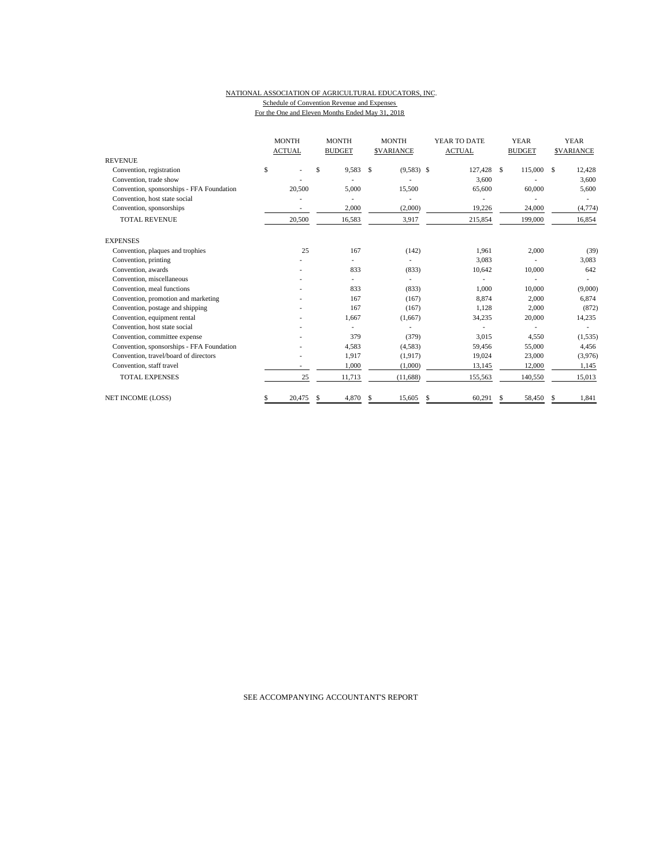#### NATIONAL ASSOCIATION OF AGRICULTURAL EDUCATORS, INC. Schedule of Convention Revenue and Expenses For the One and Eleven Months Ended May 31, 2018

| <b>REVENUE</b>                            |    | <b>MONTH</b><br><b>ACTUAL</b> |    | <b>MONTH</b><br><b>BUDGET</b> |    | <b>MONTH</b><br><b>SVARIANCE</b> | YEAR TO DATE<br><b>ACTUAL</b> |   | <b>YEAR</b><br><b>BUDGET</b> |   | <b>YEAR</b><br><b>SVARIANCE</b> |
|-------------------------------------------|----|-------------------------------|----|-------------------------------|----|----------------------------------|-------------------------------|---|------------------------------|---|---------------------------------|
| Convention, registration                  | \$ |                               | \$ | 9,583                         | S  | $(9,583)$ \$                     | 127,428 \$                    |   | 115,000 \$                   |   | 12,428                          |
| Convention, trade show                    |    |                               |    |                               |    |                                  |                               |   |                              |   |                                 |
|                                           |    |                               |    |                               |    |                                  | 3,600                         |   |                              |   | 3,600                           |
| Convention, sponsorships - FFA Foundation |    | 20,500                        |    | 5.000                         |    | 15,500                           | 65,600                        |   | 60,000                       |   | 5,600                           |
| Convention, host state social             |    |                               |    |                               |    |                                  |                               |   |                              |   |                                 |
| Convention, sponsorships                  |    | ٠                             |    | 2,000                         |    | (2,000)                          | 19,226                        |   | 24,000                       |   | (4, 774)                        |
| <b>TOTAL REVENUE</b>                      |    | 20,500                        |    | 16,583                        |    | 3,917                            | 215,854                       |   | 199,000                      |   | 16,854                          |
| <b>EXPENSES</b>                           |    |                               |    |                               |    |                                  |                               |   |                              |   |                                 |
| Convention, plaques and trophies          |    | 25                            |    | 167                           |    | (142)                            | 1,961                         |   | 2,000                        |   | (39)                            |
| Convention, printing                      |    |                               |    | ٠                             |    | ٠                                | 3,083                         |   |                              |   | 3,083                           |
| Convention, awards                        |    |                               |    | 833                           |    | (833)                            | 10,642                        |   | 10,000                       |   | 642                             |
| Convention, miscellaneous                 |    |                               |    |                               |    |                                  |                               |   |                              |   |                                 |
| Convention, meal functions                |    |                               |    | 833                           |    | (833)                            | 1.000                         |   | 10,000                       |   | (9,000)                         |
| Convention, promotion and marketing       |    |                               |    | 167                           |    | (167)                            | 8,874                         |   | 2,000                        |   | 6,874                           |
| Convention, postage and shipping          |    |                               |    | 167                           |    | (167)                            | 1.128                         |   | 2.000                        |   | (872)                           |
| Convention, equipment rental              |    |                               |    | 1,667                         |    | (1,667)                          | 34,235                        |   | 20,000                       |   | 14,235                          |
| Convention, host state social             |    |                               |    |                               |    |                                  |                               |   |                              |   |                                 |
| Convention, committee expense             |    |                               |    | 379                           |    | (379)                            | 3,015                         |   | 4,550                        |   | (1, 535)                        |
| Convention, sponsorships - FFA Foundation |    |                               |    | 4,583                         |    | (4,583)                          | 59,456                        |   | 55,000                       |   | 4,456                           |
| Convention, travel/board of directors     |    |                               |    | 1,917                         |    | (1,917)                          | 19,024                        |   | 23,000                       |   | (3,976)                         |
| Convention, staff travel                  |    | ۰.                            |    | 1,000                         |    | (1,000)                          | 13,145                        |   | 12,000                       |   | 1,145                           |
| <b>TOTAL EXPENSES</b>                     |    | 25                            |    | 11,713                        |    | (11,688)                         | 155,563                       |   | 140,550                      |   | 15,013                          |
| NET INCOME (LOSS)                         | S  | 20,475                        | S. | 4,870                         | \$ | 15,605                           | \$<br>60,291                  | S | 58,450                       | S | 1,841                           |